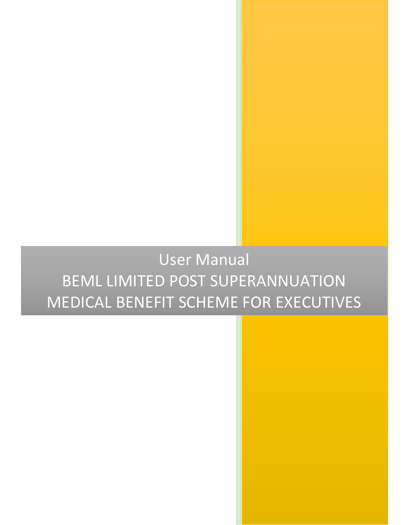## User Manual BEML LIMITED POST SUPERANNUATION MEDICAL BENEFIT SCHEME FOR EXECUTIVES